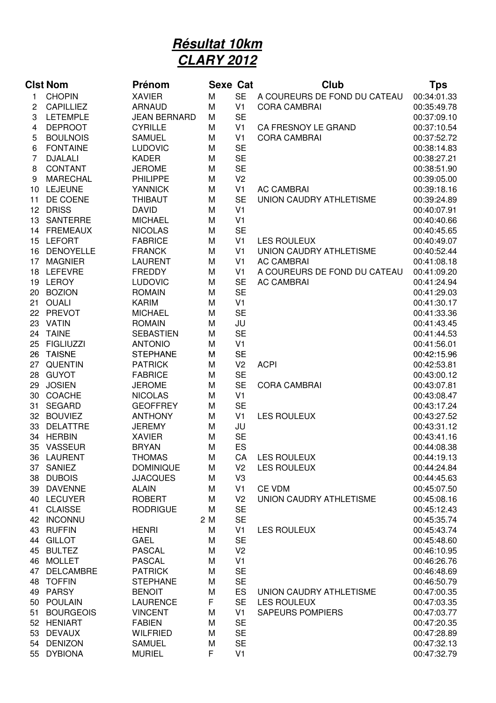## **Résultat 10km CLARY 2012**

|    | <b>Clst Nom</b>  | <b>Prénom</b>       | <b>Sexe Cat</b> |                | <b>Club</b>                  | Tps         |
|----|------------------|---------------------|-----------------|----------------|------------------------------|-------------|
| 1  | <b>CHOPIN</b>    | <b>XAVIER</b>       | M               | <b>SE</b>      | A COUREURS DE FOND DU CATEAU | 00:34:01.33 |
| 2  | CAPILLIEZ        | <b>ARNAUD</b>       | M               | V <sub>1</sub> | <b>CORA CAMBRAI</b>          | 00:35:49.78 |
| 3  | <b>LETEMPLE</b>  | <b>JEAN BERNARD</b> | M               | <b>SE</b>      |                              | 00:37:09.10 |
| 4  | <b>DEPROOT</b>   | <b>CYRILLE</b>      | M               | V1             | CA FRESNOY LE GRAND          | 00:37:10.54 |
| 5  | <b>BOULNOIS</b>  | <b>SAMUEL</b>       | M               | V <sub>1</sub> | <b>CORA CAMBRAI</b>          | 00:37:52.72 |
| 6  | <b>FONTAINE</b>  | <b>LUDOVIC</b>      | M               | <b>SE</b>      |                              | 00:38:14.83 |
| 7  | <b>DJALALI</b>   | <b>KADER</b>        | M               | <b>SE</b>      |                              | 00:38:27.21 |
| 8  | CONTANT          | <b>JEROME</b>       | M               | <b>SE</b>      |                              | 00:38:51.90 |
| 9  | <b>MARECHAL</b>  | <b>PHILIPPE</b>     | M               | V <sub>2</sub> |                              | 00:39:05.00 |
| 10 | <b>LEJEUNE</b>   | <b>YANNICK</b>      | M               | V <sub>1</sub> | <b>AC CAMBRAI</b>            | 00:39:18.16 |
| 11 | DE COENE         | <b>THIBAUT</b>      | M               | <b>SE</b>      | UNION CAUDRY ATHLETISME      | 00:39:24.89 |
| 12 | <b>DRISS</b>     | <b>DAVID</b>        | M               | V <sub>1</sub> |                              | 00:40:07.91 |
| 13 | <b>SANTERRE</b>  | <b>MICHAEL</b>      | M               | V <sub>1</sub> |                              | 00:40:40.66 |
| 14 | <b>FREMEAUX</b>  | <b>NICOLAS</b>      | M               | <b>SE</b>      |                              | 00:40:45.65 |
| 15 | <b>LEFORT</b>    | <b>FABRICE</b>      | M               | V <sub>1</sub> | <b>LES ROULEUX</b>           | 00:40:49.07 |
| 16 | <b>DENOYELLE</b> | <b>FRANCK</b>       | M               | V <sub>1</sub> | UNION CAUDRY ATHLETISME      | 00:40:52.44 |
| 17 | <b>MAGNIER</b>   | <b>LAURENT</b>      | M               | V <sub>1</sub> | <b>AC CAMBRAI</b>            | 00:41:08.18 |
| 18 | <b>LEFEVRE</b>   | <b>FREDDY</b>       | M               | V <sub>1</sub> | A COUREURS DE FOND DU CATEAU | 00:41:09.20 |
| 19 | <b>LEROY</b>     | <b>LUDOVIC</b>      | M               | <b>SE</b>      | <b>AC CAMBRAI</b>            | 00:41:24.94 |
| 20 | <b>BOZION</b>    | <b>ROMAIN</b>       | M               | <b>SE</b>      |                              | 00:41:29.03 |
| 21 | <b>OUALI</b>     | <b>KARIM</b>        | M               | V <sub>1</sub> |                              | 00:41:30.17 |
|    | 22 PREVOT        | <b>MICHAEL</b>      | M               | <b>SE</b>      |                              | 00:41:33.36 |
|    | 23 VATIN         | <b>ROMAIN</b>       | M               | JU             |                              | 00:41:43.45 |
|    | 24 TAINE         | <b>SEBASTIEN</b>    | M               | <b>SE</b>      |                              | 00:41:44.53 |
| 25 | <b>FIGLIUZZI</b> | <b>ANTONIO</b>      | M               | V <sub>1</sub> |                              | 00:41:56.01 |
| 26 | <b>TAISNE</b>    | <b>STEPHANE</b>     | M               | <b>SE</b>      |                              | 00:42:15.96 |
| 27 | <b>QUENTIN</b>   | <b>PATRICK</b>      | M               | V <sub>2</sub> | <b>ACPI</b>                  | 00:42:53.81 |
| 28 | <b>GUYOT</b>     | <b>FABRICE</b>      | M               | <b>SE</b>      |                              | 00:43:00.12 |
| 29 | <b>JOSIEN</b>    | <b>JEROME</b>       | M               | <b>SE</b>      | <b>CORA CAMBRAI</b>          | 00:43:07.81 |
| 30 | <b>COACHE</b>    | <b>NICOLAS</b>      | M               | V <sub>1</sub> |                              | 00:43:08.47 |
| 31 | <b>SEGARD</b>    | <b>GEOFFREY</b>     | M               | <b>SE</b>      |                              | 00:43:17.24 |
| 32 | <b>BOUVIEZ</b>   | <b>ANTHONY</b>      | M               | V <sub>1</sub> | <b>LES ROULEUX</b>           | 00:43:27.52 |
| 33 | <b>DELATTRE</b>  | <b>JEREMY</b>       | M               | JU             |                              | 00:43:31.12 |
| 34 | <b>HERBIN</b>    | <b>XAVIER</b>       | M               | <b>SE</b>      |                              | 00:43:41.16 |
| 35 | <b>VASSEUR</b>   | <b>BRYAN</b>        | M               | ES             |                              | 00:44:08.38 |
| 36 | LAURENT          | <b>THOMAS</b>       | M               | CA             | LES ROULEUX                  | 00:44:19.13 |
| 37 | <b>SANIEZ</b>    | <b>DOMINIQUE</b>    | M               | V <sub>2</sub> | <b>LES ROULEUX</b>           | 00:44:24.84 |
| 38 | <b>DUBOIS</b>    | <b>JJACQUES</b>     | M               | V <sub>3</sub> |                              | 00:44:45.63 |
| 39 | <b>DAVENNE</b>   | <b>ALAIN</b>        | M               | V1             | <b>CE VDM</b>                | 00:45:07.50 |
|    | 40 LECUYER       | <b>ROBERT</b>       | M               | V <sub>2</sub> | UNION CAUDRY ATHLETISME      | 00:45:08.16 |
| 41 | <b>CLAISSE</b>   | <b>RODRIGUE</b>     | M               | <b>SE</b>      |                              | 00:45:12.43 |
| 42 | <b>INCONNU</b>   |                     | 2 M             | <b>SE</b>      |                              | 00:45:35.74 |
| 43 | <b>RUFFIN</b>    | <b>HENRI</b>        | M               | V <sub>1</sub> | <b>LES ROULEUX</b>           | 00:45:43.74 |
| 44 | <b>GILLOT</b>    | <b>GAEL</b>         | M               | <b>SE</b>      |                              | 00:45:48.60 |
| 45 | <b>BULTEZ</b>    | <b>PASCAL</b>       | M               | V <sub>2</sub> |                              | 00:46:10.95 |
| 46 | <b>MOLLET</b>    | <b>PASCAL</b>       | M               | V <sub>1</sub> |                              | 00:46:26.76 |
| 47 | <b>DELCAMBRE</b> | <b>PATRICK</b>      | M               | <b>SE</b>      |                              | 00:46:48.69 |
| 48 | <b>TOFFIN</b>    | <b>STEPHANE</b>     | M               | <b>SE</b>      |                              | 00:46:50.79 |
| 49 | <b>PARSY</b>     | <b>BENOIT</b>       | M               | ES             | UNION CAUDRY ATHLETISME      | 00:47:00.35 |
| 50 | <b>POULAIN</b>   | <b>LAURENCE</b>     | F               | <b>SE</b>      | <b>LES ROULEUX</b>           | 00:47:03.35 |
| 51 | <b>BOURGEOIS</b> | <b>VINCENT</b>      | M               | V1             | <b>SAPEURS POMPIERS</b>      | 00:47:03.77 |
| 52 | <b>HENIART</b>   | <b>FABIEN</b>       | M               | <b>SE</b>      |                              | 00:47:20.35 |
| 53 | <b>DEVAUX</b>    | <b>WILFRIED</b>     | M               | <b>SE</b>      |                              | 00:47:28.89 |
| 54 | <b>DENIZON</b>   | <b>SAMUEL</b>       | M               | <b>SE</b>      |                              | 00:47:32.13 |
| 55 | <b>DYBIONA</b>   | <b>MURIEL</b>       | F               | V <sub>1</sub> |                              | 00:47:32.79 |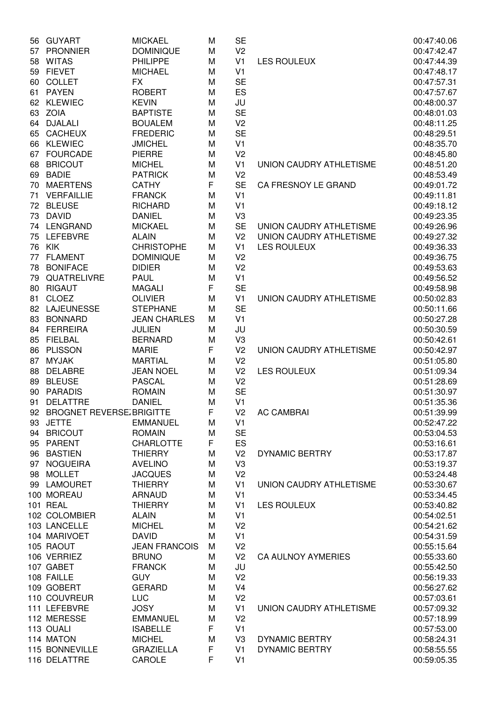| 56 | <b>GUYART</b>               | <b>MICKAEL</b>       | M | <b>SE</b>      |                           | 00:47:40.06 |
|----|-----------------------------|----------------------|---|----------------|---------------------------|-------------|
| 57 | <b>PRONNIER</b>             | <b>DOMINIQUE</b>     | M | V <sub>2</sub> |                           | 00:47:42.47 |
| 58 | <b>WITAS</b>                | <b>PHILIPPE</b>      | M | V <sub>1</sub> | <b>LES ROULEUX</b>        | 00:47:44.39 |
| 59 | <b>FIEVET</b>               | <b>MICHAEL</b>       | M | V <sub>1</sub> |                           | 00:47:48.17 |
| 60 | <b>COLLET</b>               | <b>FX</b>            | M | <b>SE</b>      |                           | 00:47:57.31 |
| 61 | <b>PAYEN</b>                | <b>ROBERT</b>        | M | ES             |                           | 00:47:57.67 |
| 62 | <b>KLEWIEC</b>              | <b>KEVIN</b>         | M | JU             |                           | 00:48:00.37 |
| 63 | <b>ZOIA</b>                 | <b>BAPTISTE</b>      | M | <b>SE</b>      |                           | 00:48:01.03 |
| 64 | <b>DJALALI</b>              | <b>BOUALEM</b>       | M | V <sub>2</sub> |                           | 00:48:11.25 |
| 65 | <b>CACHEUX</b>              | <b>FREDERIC</b>      | M | <b>SE</b>      |                           | 00:48:29.51 |
| 66 | <b>KLEWIEC</b>              | <b>JMICHEL</b>       | M | V <sub>1</sub> |                           | 00:48:35.70 |
| 67 | <b>FOURCADE</b>             | <b>PIERRE</b>        | M | V <sub>2</sub> |                           | 00:48:45.80 |
| 68 | <b>BRICOUT</b>              | <b>MICHEL</b>        | M | V <sub>1</sub> | UNION CAUDRY ATHLETISME   | 00:48:51.20 |
| 69 | <b>BADIE</b>                | <b>PATRICK</b>       | M | V <sub>2</sub> |                           | 00:48:53.49 |
| 70 | <b>MAERTENS</b>             | <b>CATHY</b>         | F | <b>SE</b>      | CA FRESNOY LE GRAND       | 00:49:01.72 |
| 71 | <b>VERFAILLIE</b>           | <b>FRANCK</b>        | M | V <sub>1</sub> |                           | 00:49:11.81 |
| 72 | <b>BLEUSE</b>               | <b>RICHARD</b>       | M | V <sub>1</sub> |                           | 00:49:18.12 |
| 73 | <b>DAVID</b>                | <b>DANIEL</b>        | M | V <sub>3</sub> |                           | 00:49:23.35 |
| 74 | LENGRAND                    | <b>MICKAEL</b>       | M | <b>SE</b>      | UNION CAUDRY ATHLETISME   | 00:49:26.96 |
| 75 | <b>LEFEBVRE</b>             | <b>ALAIN</b>         | M | V <sub>2</sub> | UNION CAUDRY ATHLETISME   | 00:49:27.32 |
| 76 | KIK                         | <b>CHRISTOPHE</b>    | M | V <sub>1</sub> | <b>LES ROULEUX</b>        | 00:49:36.33 |
| 77 | <b>FLAMENT</b>              | <b>DOMINIQUE</b>     | M | V <sub>2</sub> |                           | 00:49:36.75 |
|    | <b>BONIFACE</b>             | <b>DIDIER</b>        |   |                |                           | 00:49:53.63 |
| 78 |                             |                      | M | V <sub>2</sub> |                           |             |
| 79 | QUATRELIVRE                 | <b>PAUL</b>          | M | V <sub>1</sub> |                           | 00:49:56.52 |
| 80 | <b>RIGAUT</b>               | <b>MAGALI</b>        | F | <b>SE</b>      |                           | 00:49:58.98 |
| 81 | <b>CLOEZ</b>                | <b>OLIVIER</b>       | M | V <sub>1</sub> | UNION CAUDRY ATHLETISME   | 00:50:02.83 |
| 82 | <b>LAJEUNESSE</b>           | <b>STEPHANE</b>      | M | <b>SE</b>      |                           | 00:50:11.66 |
| 83 | <b>BONNARD</b>              | <b>JEAN CHARLES</b>  | M | V <sub>1</sub> |                           | 00:50:27.28 |
| 84 | <b>FERREIRA</b>             | <b>JULIEN</b>        | M | JU             |                           | 00:50:30.59 |
| 85 | <b>FIELBAL</b>              | <b>BERNARD</b>       | M | V <sub>3</sub> |                           | 00:50:42.61 |
| 86 | <b>PLISSON</b>              | <b>MARIE</b>         | F | V <sub>2</sub> | UNION CAUDRY ATHLETISME   | 00:50:42.97 |
| 87 | <b>MYJAK</b>                | <b>MARTIAL</b>       | M | V <sub>2</sub> |                           | 00:51:05.80 |
| 88 | <b>DELABRE</b>              | <b>JEAN NOEL</b>     | M | V <sub>2</sub> | <b>LES ROULEUX</b>        | 00:51:09.34 |
| 89 | <b>BLEUSE</b>               | <b>PASCAL</b>        | M | V <sub>2</sub> |                           | 00:51:28.69 |
| 90 | <b>PARADIS</b>              | <b>ROMAIN</b>        | M | <b>SE</b>      |                           | 00:51:30.97 |
| 91 | <b>DELATTRE</b>             | <b>DANIEL</b>        | M | V <sub>1</sub> |                           | 00:51:35.36 |
|    | 92 BROGNET REVERSE BRIGITTE |                      | F | V <sub>2</sub> | <b>AC CAMBRAI</b>         | 00:51:39.99 |
| 93 | <b>JETTE</b>                | <b>EMMANUEL</b>      | M | V <sub>1</sub> |                           | 00:52:47.22 |
| 94 | <b>BRICOUT</b>              | <b>ROMAIN</b>        | M | <b>SE</b>      |                           | 00:53:04.53 |
| 95 | <b>PARENT</b>               | <b>CHARLOTTE</b>     | F | ES             |                           | 00:53:16.61 |
|    | 96 BASTIEN                  | <b>THIERRY</b>       | M | V <sub>2</sub> | <b>DYNAMIC BERTRY</b>     | 00:53:17.87 |
| 97 | <b>NOGUEIRA</b>             | <b>AVELINO</b>       | M | V <sub>3</sub> |                           | 00:53:19.37 |
|    | 98 MOLLET                   | <b>JACQUES</b>       | M | V <sub>2</sub> |                           | 00:53:24.48 |
|    | 99 LAMOURET                 | <b>THIERRY</b>       | M | V <sub>1</sub> | UNION CAUDRY ATHLETISME   | 00:53:30.67 |
|    | 100 MOREAU                  | <b>ARNAUD</b>        | M | V <sub>1</sub> |                           | 00:53:34.45 |
|    | 101 REAL                    | <b>THIERRY</b>       | M | V <sub>1</sub> | <b>LES ROULEUX</b>        | 00:53:40.82 |
|    | 102 COLOMBIER               | <b>ALAIN</b>         | M | V <sub>1</sub> |                           | 00:54:02.51 |
|    | 103 LANCELLE                | <b>MICHEL</b>        | M | V <sub>2</sub> |                           | 00:54:21.62 |
|    | 104 MARIVOET                | <b>DAVID</b>         | M | V <sub>1</sub> |                           | 00:54:31.59 |
|    | 105 RAOUT                   | <b>JEAN FRANCOIS</b> | M | V <sub>2</sub> |                           | 00:55:15.64 |
|    | 106 VERRIEZ                 | <b>BRUNO</b>         | M | V <sub>2</sub> | <b>CA AULNOY AYMERIES</b> | 00:55:33.60 |
|    | 107 GABET                   | <b>FRANCK</b>        | M | JU             |                           | 00:55:42.50 |
|    | 108 FAILLE                  | <b>GUY</b>           | M | V <sub>2</sub> |                           | 00:56:19.33 |
|    | 109 GOBERT                  | <b>GERARD</b>        | M | V <sub>4</sub> |                           | 00:56:27.62 |
|    | 110 COUVREUR                | <b>LUC</b>           | M | V <sub>2</sub> |                           | 00:57:03.61 |
|    | 111 LEFEBVRE                | <b>JOSY</b>          | M | V <sub>1</sub> | UNION CAUDRY ATHLETISME   | 00:57:09.32 |
|    | 112 MERESSE                 | <b>EMMANUEL</b>      | M | V <sub>2</sub> |                           | 00:57:18.99 |
|    | 113 OUALI                   | <b>ISABELLE</b>      | F | V <sub>1</sub> |                           | 00:57:53.00 |
|    | 114 MATON                   | <b>MICHEL</b>        | M | V3             | <b>DYNAMIC BERTRY</b>     | 00:58:24.31 |
|    | 115 BONNEVILLE              | <b>GRAZIELLA</b>     | F | V <sub>1</sub> | <b>DYNAMIC BERTRY</b>     | 00:58:55.55 |
|    | 116 DELATTRE                | CAROLE               | F | V <sub>1</sub> |                           | 00:59:05.35 |
|    |                             |                      |   |                |                           |             |